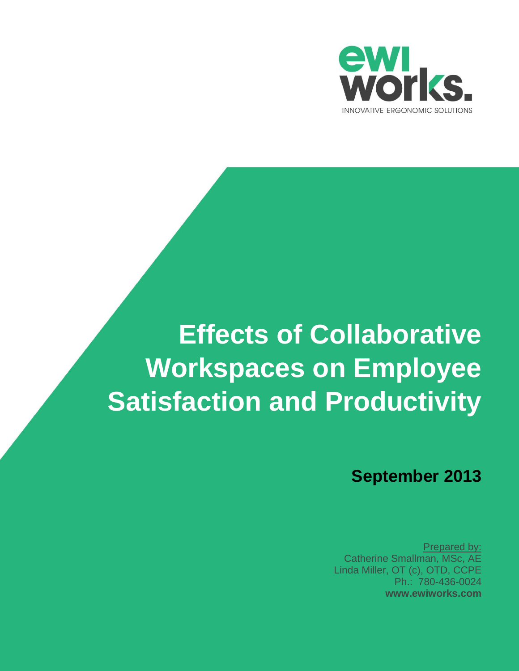

# **Effects of Collaborative Workspaces on Employee Satisfaction and Productivity**

**September 2013**

Prepared by: Catherine Smallman, MSc, AE Linda Miller, OT (c), OTD, CCPE Ph.: 780-436-0024 **www.ewiworks.com**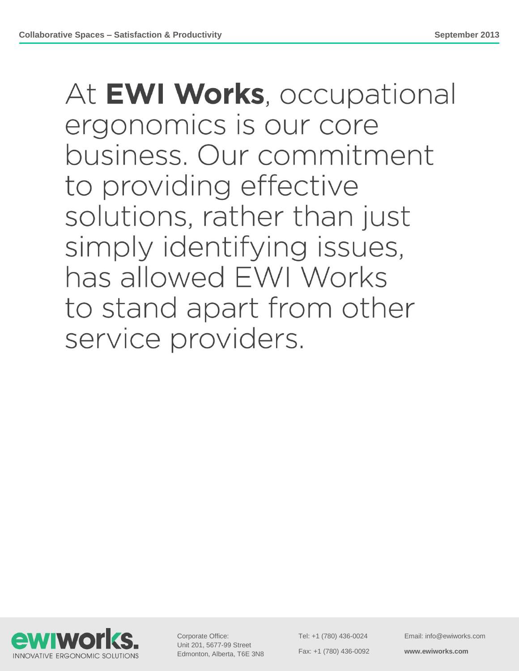At EWI Works, occupational ergonomics is our core business. Our commitment to providing effective solutions, rather than just simply identifying issues, has allowed EWI Works to stand apart from other service providers.



Corporate Office: Unit 201, 5677-99 Street Edmonton, Alberta, T6E 3N8 Tel: +1 (780) 436-0024 Fax: +1 (780) 436-0092 Email: info@ewiworks.com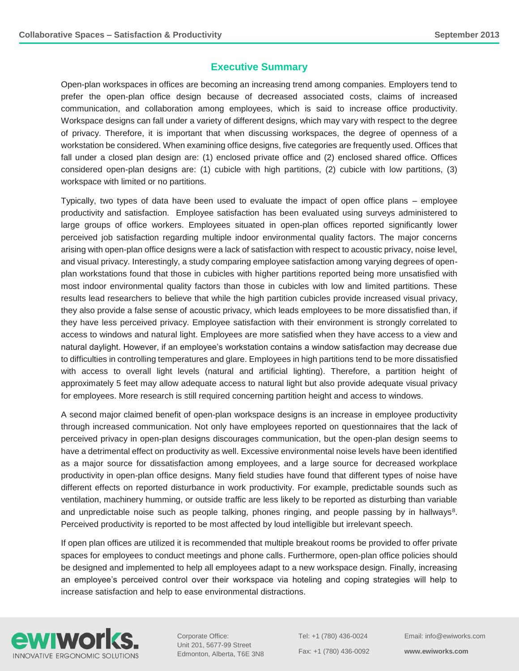# **Executive Summary**

Open-plan workspaces in offices are becoming an increasing trend among companies. Employers tend to prefer the open-plan office design because of decreased associated costs, claims of increased communication, and collaboration among employees, which is said to increase office productivity. Workspace designs can fall under a variety of different designs, which may vary with respect to the degree of privacy. Therefore, it is important that when discussing workspaces, the degree of openness of a workstation be considered. When examining office designs, five categories are frequently used. Offices that fall under a closed plan design are: (1) enclosed private office and (2) enclosed shared office. Offices considered open-plan designs are: (1) cubicle with high partitions, (2) cubicle with low partitions, (3) workspace with limited or no partitions.

Typically, two types of data have been used to evaluate the impact of open office plans – employee productivity and satisfaction. Employee satisfaction has been evaluated using surveys administered to large groups of office workers. Employees situated in open-plan offices reported significantly lower perceived job satisfaction regarding multiple indoor environmental quality factors. The major concerns arising with open-plan office designs were a lack of satisfaction with respect to acoustic privacy, noise level, and visual privacy. Interestingly, a study comparing employee satisfaction among varying degrees of openplan workstations found that those in cubicles with higher partitions reported being more unsatisfied with most indoor environmental quality factors than those in cubicles with low and limited partitions. These results lead researchers to believe that while the high partition cubicles provide increased visual privacy, they also provide a false sense of acoustic privacy, which leads employees to be more dissatisfied than, if they have less perceived privacy. Employee satisfaction with their environment is strongly correlated to access to windows and natural light. Employees are more satisfied when they have access to a view and natural daylight. However, if an employee's workstation contains a window satisfaction may decrease due to difficulties in controlling temperatures and glare. Employees in high partitions tend to be more dissatisfied with access to overall light levels (natural and artificial lighting). Therefore, a partition height of approximately 5 feet may allow adequate access to natural light but also provide adequate visual privacy for employees. More research is still required concerning partition height and access to windows.

A second major claimed benefit of open-plan workspace designs is an increase in employee productivity through increased communication. Not only have employees reported on questionnaires that the lack of perceived privacy in open-plan designs discourages communication, but the open-plan design seems to have a detrimental effect on productivity as well. Excessive environmental noise levels have been identified as a major source for dissatisfaction among employees, and a large source for decreased workplace productivity in open-plan office designs. Many field studies have found that different types of noise have different effects on reported disturbance in work productivity. For example, predictable sounds such as ventilation, machinery humming, or outside traffic are less likely to be reported as disturbing than variable and unpredictable noise such as people talking, phones ringing, and people passing by in hallways<sup>8</sup>. Perceived productivity is reported to be most affected by loud intelligible but irrelevant speech.

If open plan offices are utilized it is recommended that multiple breakout rooms be provided to offer private spaces for employees to conduct meetings and phone calls. Furthermore, open-plan office policies should be designed and implemented to help all employees adapt to a new workspace design. Finally, increasing an employee's perceived control over their workspace via hoteling and coping strategies will help to increase satisfaction and help to ease environmental distractions.



Corporate Office: Unit 201, 5677-99 Street Edmonton, Alberta, T6E 3N8 Tel: +1 (780) 436-0024 Fax: +1 (780) 436-0092 Email: info@ewiworks.com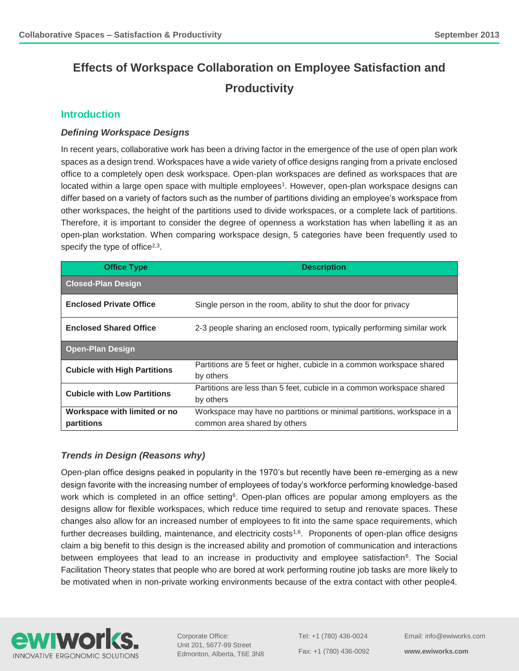# **Effects of Workspace Collaboration on Employee Satisfaction and Productivity**

# **Introduction**

### *Defining Workspace Designs*

In recent years, collaborative work has been a driving factor in the emergence of the use of open plan work spaces as a design trend. Workspaces have a wide variety of office designs ranging from a private enclosed office to a completely open desk workspace. Open-plan workspaces are defined as workspaces that are located within a large open space with multiple employees<sup>1</sup>. However, open-plan workspace designs can differ based on a variety of factors such as the number of partitions dividing an employee's workspace from other workspaces, the height of the partitions used to divide workspaces, or a complete lack of partitions. Therefore, it is important to consider the degree of openness a workstation has when labelling it as an open-plan workstation. When comparing workspace design, 5 categories have been frequently used to specify the type of office $2,3$ .

| <b>Office Type</b>                  | <b>Description</b>                                                     |
|-------------------------------------|------------------------------------------------------------------------|
| <b>Closed-Plan Design</b>           |                                                                        |
| <b>Enclosed Private Office</b>      | Single person in the room, ability to shut the door for privacy        |
| <b>Enclosed Shared Office</b>       | 2-3 people sharing an enclosed room, typically performing similar work |
| <b>Open-Plan Design</b>             |                                                                        |
| <b>Cubicle with High Partitions</b> | Partitions are 5 feet or higher, cubicle in a common workspace shared  |
|                                     | by others                                                              |
| <b>Cubicle with Low Partitions</b>  | Partitions are less than 5 feet, cubicle in a common workspace shared  |
|                                     | by others                                                              |
| Workspace with limited or no        | Workspace may have no partitions or minimal partitions, workspace in a |
| partitions                          | common area shared by others                                           |

# *Trends in Design (Reasons why)*

Open-plan office designs peaked in popularity in the 1970's but recently have been re-emerging as a new design favorite with the increasing number of employees of today's workforce performing knowledge-based work which is completed in an office setting<sup>6</sup>. Open-plan offices are popular among employers as the designs allow for flexible workspaces, which reduce time required to setup and renovate spaces. These changes also allow for an increased number of employees to fit into the same space requirements, which further decreases building, maintenance, and electricity costs<sup>1,6</sup>. Proponents of open-plan office designs claim a big benefit to this design is the increased ability and promotion of communication and interactions between employees that lead to an increase in productivity and employee satisfaction<sup>6</sup>. The Social Facilitation Theory states that people who are bored at work performing routine job tasks are more likely to be motivated when in non-private working environments because of the extra contact with other people4.



Corporate Office: Unit 201, 5677-99 Street Edmonton, Alberta, T6E 3N8 Tel: +1 (780) 436-0024 Fax: +1 (780) 436-0092 Email: info@ewiworks.com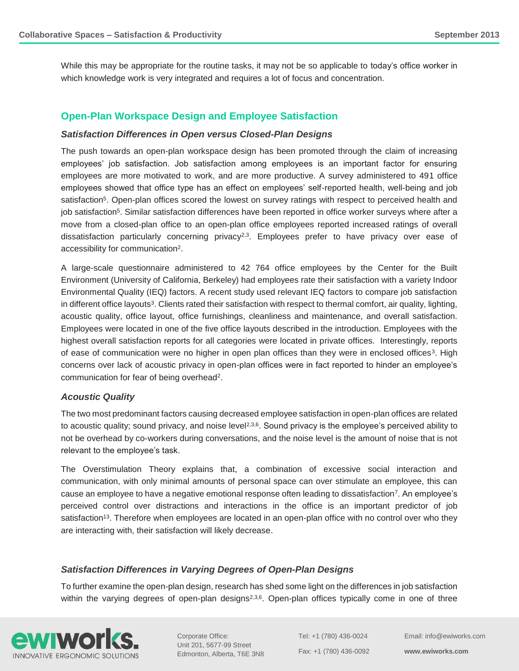While this may be appropriate for the routine tasks, it may not be so applicable to today's office worker in which knowledge work is very integrated and requires a lot of focus and concentration.

# **Open-Plan Workspace Design and Employee Satisfaction**

#### *Satisfaction Differences in Open versus Closed-Plan Designs*

The push towards an open-plan workspace design has been promoted through the claim of increasing employees' job satisfaction. Job satisfaction among employees is an important factor for ensuring employees are more motivated to work, and are more productive. A survey administered to 491 office employees showed that office type has an effect on employees' self-reported health, well-being and job satisfaction<sup>5</sup>. Open-plan offices scored the lowest on survey ratings with respect to perceived health and job satisfaction<sup>5</sup>. Similar satisfaction differences have been reported in office worker surveys where after a move from a closed-plan office to an open-plan office employees reported increased ratings of overall dissatisfaction particularly concerning privacy<sup>2,3</sup>. Employees prefer to have privacy over ease of accessibility for communication<sup>2</sup>.

A large-scale questionnaire administered to 42 764 office employees by the Center for the Built Environment (University of California, Berkeley) had employees rate their satisfaction with a variety Indoor Environmental Quality (IEQ) factors. A recent study used relevant IEQ factors to compare job satisfaction in different office layouts<sup>3</sup>. Clients rated their satisfaction with respect to thermal comfort, air quality, lighting, acoustic quality, office layout, office furnishings, cleanliness and maintenance, and overall satisfaction. Employees were located in one of the five office layouts described in the introduction. Employees with the highest overall satisfaction reports for all categories were located in private offices. Interestingly, reports of ease of communication were no higher in open plan offices than they were in enclosed offices<sup>3</sup>. High concerns over lack of acoustic privacy in open-plan offices were in fact reported to hinder an employee's communication for fear of being overhead<sup>2</sup>.

#### *Acoustic Quality*

The two most predominant factors causing decreased employee satisfaction in open-plan offices are related to acoustic quality; sound privacy, and noise level<sup>2,3,6</sup>. Sound privacy is the employee's perceived ability to not be overhead by co-workers during conversations, and the noise level is the amount of noise that is not relevant to the employee's task.

The Overstimulation Theory explains that, a combination of excessive social interaction and communication, with only minimal amounts of personal space can over stimulate an employee, this can cause an employee to have a negative emotional response often leading to dissatisfaction<sup>7</sup>. An employee's perceived control over distractions and interactions in the office is an important predictor of job satisfaction<sup>13</sup>. Therefore when employees are located in an open-plan office with no control over who they are interacting with, their satisfaction will likely decrease.

# *Satisfaction Differences in Varying Degrees of Open-Plan Designs*

To further examine the open-plan design, research has shed some light on the differences in job satisfaction within the varying degrees of open-plan designs<sup>2,3,6</sup>. Open-plan offices typically come in one of three



Corporate Office: Unit 201, 5677-99 Street Edmonton, Alberta, T6E 3N8

Tel: +1 (780) 436-0024 Fax: +1 (780) 436-0092 Email: info@ewiworks.com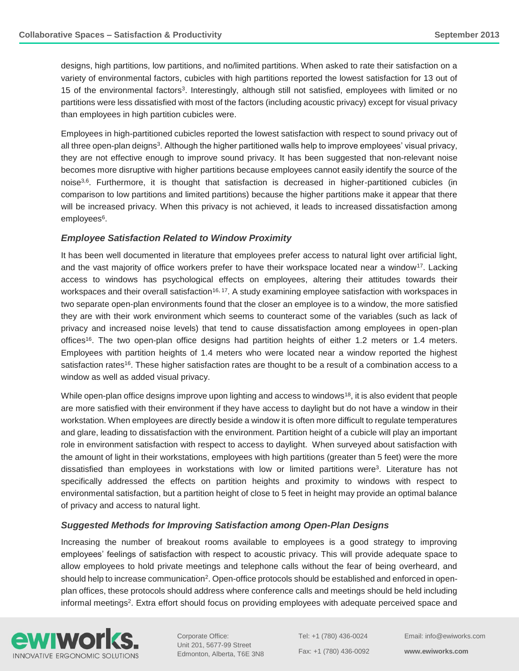designs, high partitions, low partitions, and no/limited partitions. When asked to rate their satisfaction on a variety of environmental factors, cubicles with high partitions reported the lowest satisfaction for 13 out of 15 of the environmental factors<sup>3</sup>. Interestingly, although still not satisfied, employees with limited or no partitions were less dissatisfied with most of the factors (including acoustic privacy) except for visual privacy than employees in high partition cubicles were.

Employees in high-partitioned cubicles reported the lowest satisfaction with respect to sound privacy out of all three open-plan deigns<sup>3</sup>. Although the higher partitioned walls help to improve employees' visual privacy, they are not effective enough to improve sound privacy. It has been suggested that non-relevant noise becomes more disruptive with higher partitions because employees cannot easily identify the source of the noise3,6. Furthermore, it is thought that satisfaction is decreased in higher-partitioned cubicles (in comparison to low partitions and limited partitions) because the higher partitions make it appear that there will be increased privacy. When this privacy is not achieved, it leads to increased dissatisfaction among employees<sup>6</sup>.

#### *Employee Satisfaction Related to Window Proximity*

It has been well documented in literature that employees prefer access to natural light over artificial light, and the vast majority of office workers prefer to have their workspace located near a window<sup>17</sup>. Lacking access to windows has psychological effects on employees, altering their attitudes towards their workspaces and their overall satisfaction<sup>16, 17</sup>. A study examining employee satisfaction with workspaces in two separate open-plan environments found that the closer an employee is to a window, the more satisfied they are with their work environment which seems to counteract some of the variables (such as lack of privacy and increased noise levels) that tend to cause dissatisfaction among employees in open-plan offices<sup>16</sup>. The two open-plan office designs had partition heights of either 1.2 meters or 1.4 meters. Employees with partition heights of 1.4 meters who were located near a window reported the highest satisfaction rates<sup>16</sup>. These higher satisfaction rates are thought to be a result of a combination access to a window as well as added visual privacy.

While open-plan office designs improve upon lighting and access to windows<sup>18</sup>, it is also evident that people are more satisfied with their environment if they have access to daylight but do not have a window in their workstation. When employees are directly beside a window it is often more difficult to regulate temperatures and glare, leading to dissatisfaction with the environment. Partition height of a cubicle will play an important role in environment satisfaction with respect to access to daylight. When surveyed about satisfaction with the amount of light in their workstations, employees with high partitions (greater than 5 feet) were the more dissatisfied than employees in workstations with low or limited partitions were<sup>3</sup>. Literature has not specifically addressed the effects on partition heights and proximity to windows with respect to environmental satisfaction, but a partition height of close to 5 feet in height may provide an optimal balance of privacy and access to natural light.

# *Suggested Methods for Improving Satisfaction among Open-Plan Designs*

Increasing the number of breakout rooms available to employees is a good strategy to improving employees' feelings of satisfaction with respect to acoustic privacy. This will provide adequate space to allow employees to hold private meetings and telephone calls without the fear of being overheard, and should help to increase communication<sup>2</sup>. Open-office protocols should be established and enforced in openplan offices, these protocols should address where conference calls and meetings should be held including informal meetings<sup>2</sup>. Extra effort should focus on providing employees with adequate perceived space and



Corporate Office: Unit 201, 5677-99 Street Edmonton, Alberta, T6E 3N8 Tel: +1 (780) 436-0024 Fax: +1 (780) 436-0092 Email: info@ewiworks.com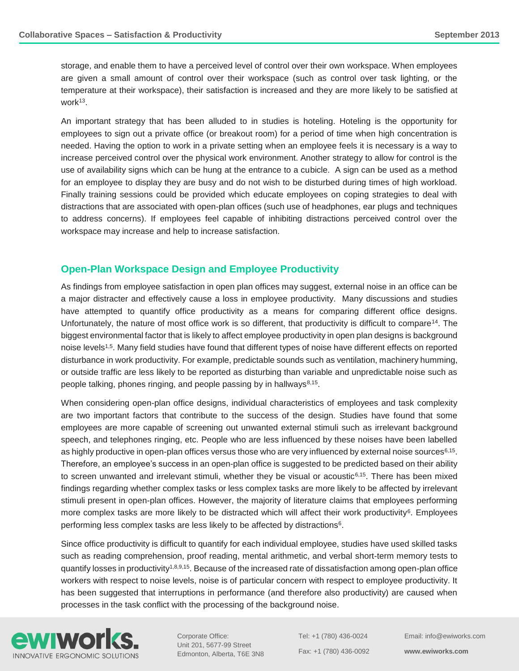storage, and enable them to have a perceived level of control over their own workspace. When employees are given a small amount of control over their workspace (such as control over task lighting, or the temperature at their workspace), their satisfaction is increased and they are more likely to be satisfied at work<sup>13</sup> .

An important strategy that has been alluded to in studies is hoteling. Hoteling is the opportunity for employees to sign out a private office (or breakout room) for a period of time when high concentration is needed. Having the option to work in a private setting when an employee feels it is necessary is a way to increase perceived control over the physical work environment. Another strategy to allow for control is the use of availability signs which can be hung at the entrance to a cubicle. A sign can be used as a method for an employee to display they are busy and do not wish to be disturbed during times of high workload. Finally training sessions could be provided which educate employees on coping strategies to deal with distractions that are associated with open-plan offices (such use of headphones, ear plugs and techniques to address concerns). If employees feel capable of inhibiting distractions perceived control over the workspace may increase and help to increase satisfaction.

# **Open-Plan Workspace Design and Employee Productivity**

As findings from employee satisfaction in open plan offices may suggest, external noise in an office can be a major distracter and effectively cause a loss in employee productivity. Many discussions and studies have attempted to quantify office productivity as a means for comparing different office designs. Unfortunately, the nature of most office work is so different, that productivity is difficult to compare<sup>14</sup>. The biggest environmental factor that is likely to affect employee productivity in open plan designs is background noise levels1,5. Many field studies have found that different types of noise have different effects on reported disturbance in work productivity. For example, predictable sounds such as ventilation, machinery humming, or outside traffic are less likely to be reported as disturbing than variable and unpredictable noise such as people talking, phones ringing, and people passing by in hallways<sup>8,15</sup>.

When considering open-plan office designs, individual characteristics of employees and task complexity are two important factors that contribute to the success of the design. Studies have found that some employees are more capable of screening out unwanted external stimuli such as irrelevant background speech, and telephones ringing, etc. People who are less influenced by these noises have been labelled as highly productive in open-plan offices versus those who are very influenced by external noise sources<sup>6,15</sup>. Therefore, an employee's success in an open-plan office is suggested to be predicted based on their ability to screen unwanted and irrelevant stimuli, whether they be visual or acoustic6,15. There has been mixed findings regarding whether complex tasks or less complex tasks are more likely to be affected by irrelevant stimuli present in open-plan offices. However, the majority of literature claims that employees performing more complex tasks are more likely to be distracted which will affect their work productivity<sup>6</sup>. Employees performing less complex tasks are less likely to be affected by distractions<sup>6</sup>.

Since office productivity is difficult to quantify for each individual employee, studies have used skilled tasks such as reading comprehension, proof reading, mental arithmetic, and verbal short-term memory tests to quantify losses in productivity<sup>1,8,9,15</sup>. Because of the increased rate of dissatisfaction among open-plan office workers with respect to noise levels, noise is of particular concern with respect to employee productivity. It has been suggested that interruptions in performance (and therefore also productivity) are caused when processes in the task conflict with the processing of the background noise.



Corporate Office: Unit 201, 5677-99 Street Edmonton, Alberta, T6E 3N8 Tel: +1 (780) 436-0024 Fax: +1 (780) 436-0092 Email: info@ewiworks.com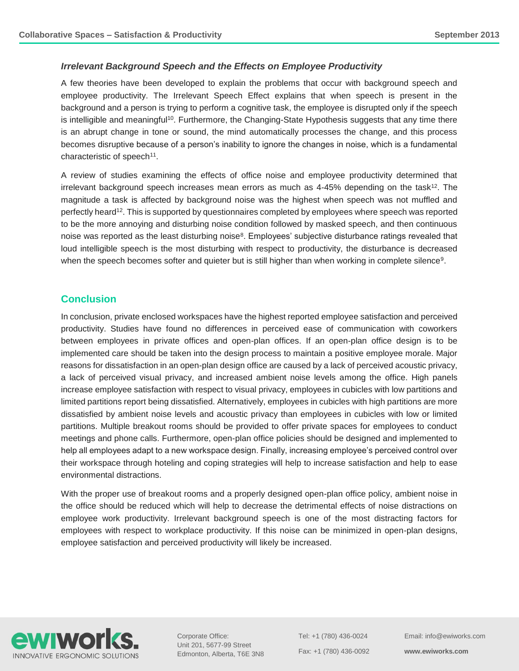#### *Irrelevant Background Speech and the Effects on Employee Productivity*

A few theories have been developed to explain the problems that occur with background speech and employee productivity. The Irrelevant Speech Effect explains that when speech is present in the background and a person is trying to perform a cognitive task, the employee is disrupted only if the speech is intelligible and meaningful<sup>10</sup>. Furthermore, the Changing-State Hypothesis suggests that any time there is an abrupt change in tone or sound, the mind automatically processes the change, and this process becomes disruptive because of a person's inability to ignore the changes in noise, which is a fundamental characteristic of speech<sup>11</sup>.

A review of studies examining the effects of office noise and employee productivity determined that irrelevant background speech increases mean errors as much as  $4-45%$  depending on the task<sup>12</sup>. The magnitude a task is affected by background noise was the highest when speech was not muffled and perfectly heard<sup>12</sup>. This is supported by questionnaires completed by employees where speech was reported to be the more annoying and disturbing noise condition followed by masked speech, and then continuous noise was reported as the least disturbing noise<sup>8</sup>. Employees' subjective disturbance ratings revealed that loud intelligible speech is the most disturbing with respect to productivity, the disturbance is decreased when the speech becomes softer and quieter but is still higher than when working in complete silence<sup>9</sup>.

#### **Conclusion**

In conclusion, private enclosed workspaces have the highest reported employee satisfaction and perceived productivity. Studies have found no differences in perceived ease of communication with coworkers between employees in private offices and open-plan offices. If an open-plan office design is to be implemented care should be taken into the design process to maintain a positive employee morale. Major reasons for dissatisfaction in an open-plan design office are caused by a lack of perceived acoustic privacy, a lack of perceived visual privacy, and increased ambient noise levels among the office. High panels increase employee satisfaction with respect to visual privacy, employees in cubicles with low partitions and limited partitions report being dissatisfied. Alternatively, employees in cubicles with high partitions are more dissatisfied by ambient noise levels and acoustic privacy than employees in cubicles with low or limited partitions. Multiple breakout rooms should be provided to offer private spaces for employees to conduct meetings and phone calls. Furthermore, open-plan office policies should be designed and implemented to help all employees adapt to a new workspace design. Finally, increasing employee's perceived control over their workspace through hoteling and coping strategies will help to increase satisfaction and help to ease environmental distractions.

With the proper use of breakout rooms and a properly designed open-plan office policy, ambient noise in the office should be reduced which will help to decrease the detrimental effects of noise distractions on employee work productivity. Irrelevant background speech is one of the most distracting factors for employees with respect to workplace productivity. If this noise can be minimized in open-plan designs, employee satisfaction and perceived productivity will likely be increased.



Corporate Office: Unit 201, 5677-99 Street Edmonton, Alberta, T6E 3N8 Tel: +1 (780) 436-0024 Fax: +1 (780) 436-0092 Email: info@ewiworks.com